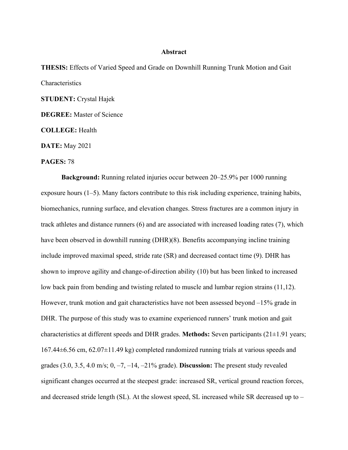## **Abstract**

**THESIS:** Effects of Varied Speed and Grade on Downhill Running Trunk Motion and Gait Characteristics **STUDENT:** Crystal Hajek **DEGREE:** Master of Science

**COLLEGE:** Health

**DATE:** May 2021

**PAGES:** 78

**Background:** Running related injuries occur between 20–25.9% per 1000 running exposure hours (1–5). Many factors contribute to this risk including experience, training habits, biomechanics, running surface, and elevation changes. Stress fractures are a common injury in track athletes and distance runners (6) and are associated with increased loading rates (7), which have been observed in downhill running (DHR)(8). Benefits accompanying incline training include improved maximal speed, stride rate (SR) and decreased contact time (9). DHR has shown to improve agility and change-of-direction ability (10) but has been linked to increased low back pain from bending and twisting related to muscle and lumbar region strains (11,12). However, trunk motion and gait characteristics have not been assessed beyond –15% grade in DHR. The purpose of this study was to examine experienced runners' trunk motion and gait characteristics at different speeds and DHR grades. **Methods:** Seven participants (21±1.91 years; 167.44±6.56 cm, 62.07±11.49 kg) completed randomized running trials at various speeds and grades (3.0, 3.5, 4.0 m/s; 0, –7, –14, –21% grade). **Discussion:** The present study revealed significant changes occurred at the steepest grade: increased SR, vertical ground reaction forces, and decreased stride length (SL). At the slowest speed, SL increased while SR decreased up to –